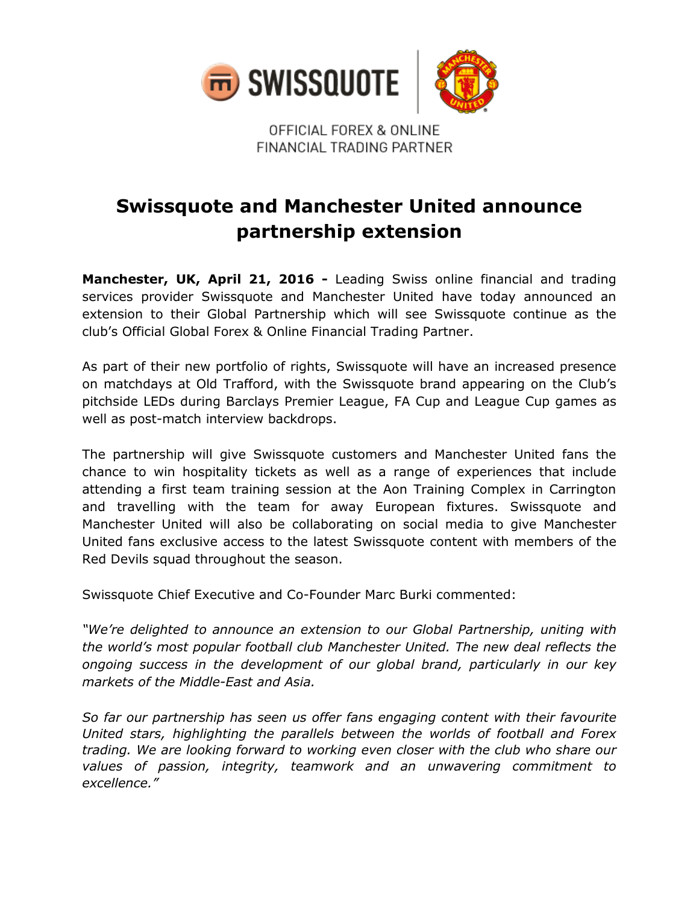

OFFICIAL FOREX & ONLINE FINANCIAL TRADING PARTNER

## **Swissquote and Manchester United announce partnership extension**

**Manchester, UK, April 21, 2016 -** Leading Swiss online financial and trading services provider Swissquote and Manchester United have today announced an extension to their Global Partnership which will see Swissquote continue as the club's Official Global Forex & Online Financial Trading Partner.

As part of their new portfolio of rights, Swissquote will have an increased presence on matchdays at Old Trafford, with the Swissquote brand appearing on the Club's pitchside LEDs during Barclays Premier League, FA Cup and League Cup games as well as post-match interview backdrops.

The partnership will give Swissquote customers and Manchester United fans the chance to win hospitality tickets as well as a range of experiences that include attending a first team training session at the Aon Training Complex in Carrington and travelling with the team for away European fixtures. Swissquote and Manchester United will also be collaborating on social media to give Manchester United fans exclusive access to the latest Swissquote content with members of the Red Devils squad throughout the season.

Swissquote Chief Executive and Co-Founder Marc Burki commented:

*"We're delighted to announce an extension to our Global Partnership, uniting with the world's most popular football club Manchester United. The new deal reflects the ongoing success in the development of our global brand, particularly in our key markets of the Middle-East and Asia.* 

*So far our partnership has seen us offer fans engaging content with their favourite United stars, highlighting the parallels between the worlds of football and Forex trading. We are looking forward to working even closer with the club who share our values of passion, integrity, teamwork and an unwavering commitment to excellence."*